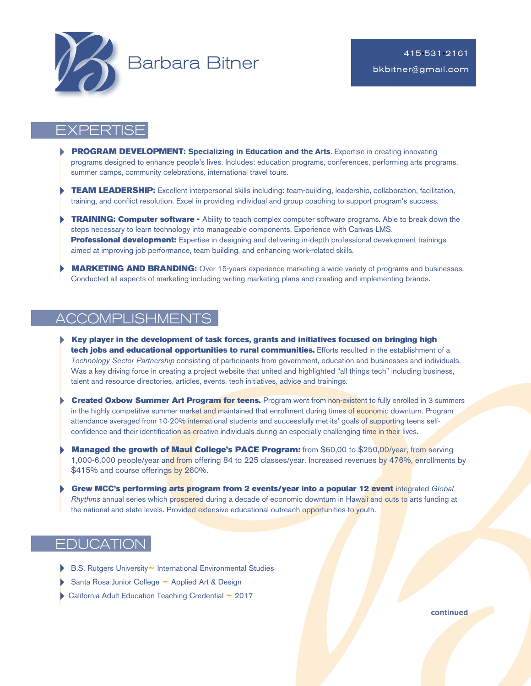

# EXPERTISE

- **PROGRAM DEVELOPMENT: Specializing in Education and the Arts**. Expertise in creating innovating programs designed to enhance people's lives. Includes: education programs, conferences, performing arts programs, summer camps, community celebrations, international travel tours.
- TEAM LEADERSHIP: Excellent interpersonal skills including: team-building, leadership, collaboration, facilitation, training, and conflict resolution. Excel in providing individual and group coaching to support program's success.
- **TRAINING: Computer software** Ability to teach complex computer software programs. Able to break down the steps necessary to learn technology into manageable components, Experience with Canvas LMS. Professional development: Expertise in designing and delivering in-depth professional development trainings aimed at improving job performance, team building, and enhancing work-related skills.
- **MARKETING AND BRANDING:** Over 15-years experience marketing a wide variety of programs and businesses. Conducted all aspects of marketing including writing marketing plans and creating and implementing brands.

# ACCOMPLISHMENTS

- 4 Key player in the development of task forces, grants and initiatives focused on bringing high tech jobs and educational opportunities to rural communities. Efforts resulted in the establishment of a *Technology Sector Partnership* consisting of participants from government, education and businesses and individuals. Was a key driving force in creating a project website that united and highlighted "all things tech" including business, talent and resource directories, articles, events, tech initiatives, advice and trainings.
- directories, articles, events, toch initiatives, advice and trainings.<br> **Summer 4. Throgram for techns.** Program went from non-existent to fully enrolled in 3 summers<br>
the summer market and maintained that enrollment durin **Created Oxbow Summer Art Program for teens.** Program went from non-existent to fully enrolled in 3 summers in the highly competitive summer market and maintained that enrollment during times of economic downturn. Program attendance averaged from 10-20% international students and successfully met its' goals of supporting teens selfconfidence and their identification as creative individuals during an especially challenging time in their lives.
- Managed the growth of Maui College's PACE Program: from \$60,00 to \$250,00/year, from serving 1,000-6,000 people/year and from offering 84 to 225 classes/year. Increased revenues by 476%, enrollments by \$415% and course offerings by 260%.
- Grew MCC's performing arts program from 2 events/year into a popular 12 event integrated *Global Rhythms* annual series which prospered during a decade of economic downturn in Hawaiî and cuts to arts funding at the national and state levels. Provided extensive educational outreach opportunities to youth.

# **EDUCATION**

- 4 B.S. Rutgers University**~** International Environmental Studies
- 4 Santa Rosa Junior College **~** Applied Art & Design
- 4California Adult Education Teaching Credential **~**<sup>2017</sup>

**continued**